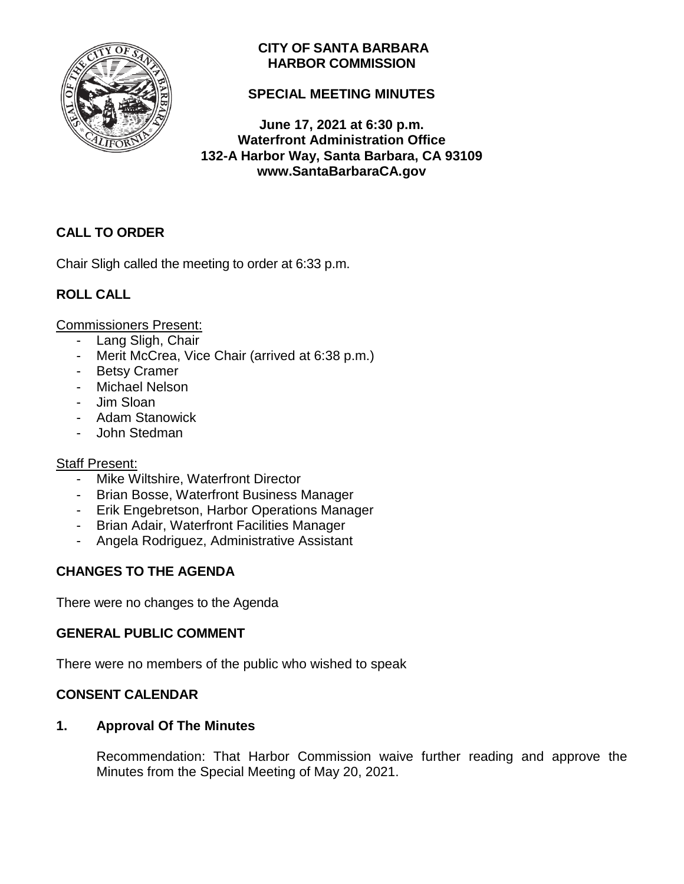

## **CITY OF SANTA BARBARA HARBOR COMMISSION**

## **SPECIAL MEETING MINUTES**

**June 17, 2021 at 6:30 p.m. Waterfront Administration Office 132-A Harbor Way, Santa Barbara, CA 93109 www.SantaBarbaraCA.gov**

# **CALL TO ORDER**

Chair Sligh called the meeting to order at 6:33 p.m.

## **ROLL CALL**

Commissioners Present:

- Lang Sligh, Chair
- Merit McCrea, Vice Chair (arrived at 6:38 p.m.)
- Betsy Cramer
- Michael Nelson
- Jim Sloan
- Adam Stanowick
- John Stedman

### Staff Present:

- Mike Wiltshire, Waterfront Director
- Brian Bosse, Waterfront Business Manager
- Erik Engebretson, Harbor Operations Manager
- Brian Adair, Waterfront Facilities Manager
- Angela Rodriguez, Administrative Assistant

## **CHANGES TO THE AGENDA**

There were no changes to the Agenda

## **GENERAL PUBLIC COMMENT**

There were no members of the public who wished to speak

## **CONSENT CALENDAR**

### **1. Approval Of The Minutes**

Recommendation: That Harbor Commission waive further reading and approve the Minutes from the Special Meeting of May 20, 2021.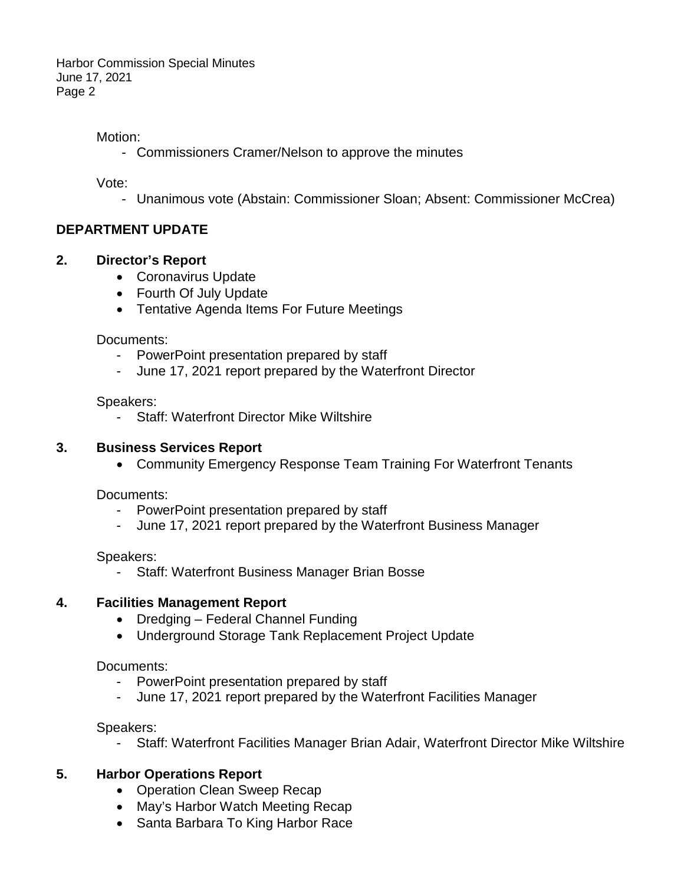Harbor Commission Special Minutes June 17, 2021 Page 2

### Motion:

- Commissioners Cramer/Nelson to approve the minutes

Vote:

- Unanimous vote (Abstain: Commissioner Sloan; Absent: Commissioner McCrea)

## **DEPARTMENT UPDATE**

### **2. Director's Report**

- Coronavirus Update
- Fourth Of July Update
- Tentative Agenda Items For Future Meetings

Documents:

- PowerPoint presentation prepared by staff
- June 17, 2021 report prepared by the Waterfront Director

Speakers:

- Staff: Waterfront Director Mike Wiltshire

### **3. Business Services Report**

• Community Emergency Response Team Training For Waterfront Tenants

Documents:

- PowerPoint presentation prepared by staff
- June 17, 2021 report prepared by the Waterfront Business Manager

Speakers:

Staff: Waterfront Business Manager Brian Bosse

## **4. Facilities Management Report**

- Dredging Federal Channel Funding
- Underground Storage Tank Replacement Project Update

Documents:

- PowerPoint presentation prepared by staff
- June 17, 2021 report prepared by the Waterfront Facilities Manager

Speakers:

- Staff: Waterfront Facilities Manager Brian Adair, Waterfront Director Mike Wiltshire

## **5. Harbor Operations Report**

- Operation Clean Sweep Recap
- May's Harbor Watch Meeting Recap
- Santa Barbara To King Harbor Race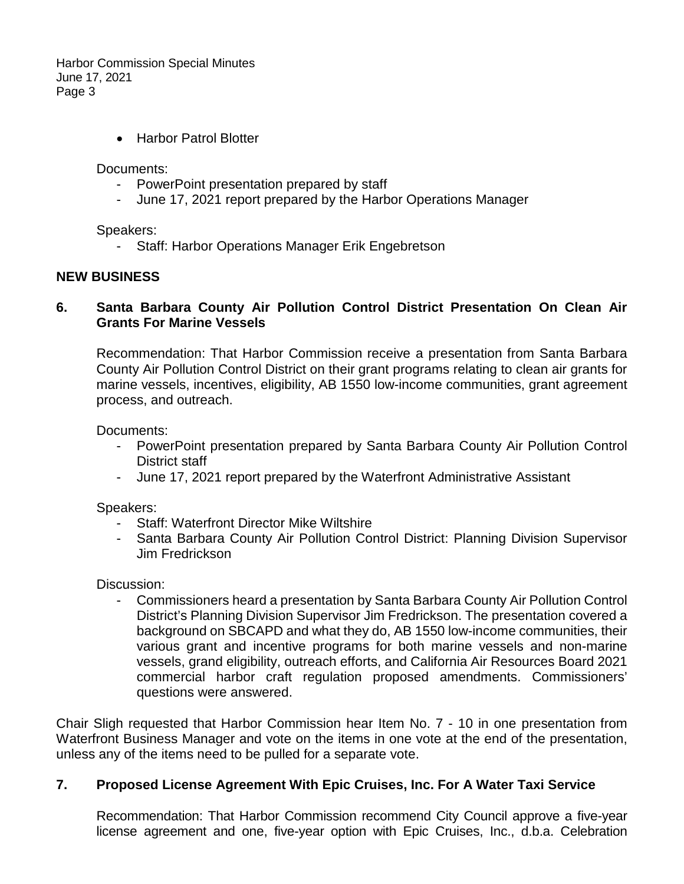Harbor Commission Special Minutes June 17, 2021 Page 3

• Harbor Patrol Blotter

Documents:

- PowerPoint presentation prepared by staff
- June 17, 2021 report prepared by the Harbor Operations Manager

Speakers:

- Staff: Harbor Operations Manager Erik Engebretson

#### **NEW BUSINESS**

#### **6. Santa Barbara County Air Pollution Control District Presentation On Clean Air Grants For Marine Vessels**

Recommendation: That Harbor Commission receive a presentation from Santa Barbara County Air Pollution Control District on their grant programs relating to clean air grants for marine vessels, incentives, eligibility, AB 1550 low-income communities, grant agreement process, and outreach.

Documents:

- PowerPoint presentation prepared by Santa Barbara County Air Pollution Control District staff
- June 17, 2021 report prepared by the Waterfront Administrative Assistant

Speakers:

- **Staff: Waterfront Director Mike Wiltshire**
- Santa Barbara County Air Pollution Control District: Planning Division Supervisor Jim Fredrickson

Discussion:

- Commissioners heard a presentation by Santa Barbara County Air Pollution Control District's Planning Division Supervisor Jim Fredrickson. The presentation covered a background on SBCAPD and what they do, AB 1550 low-income communities, their various grant and incentive programs for both marine vessels and non-marine vessels, grand eligibility, outreach efforts, and California Air Resources Board 2021 commercial harbor craft regulation proposed amendments. Commissioners' questions were answered.

Chair Sligh requested that Harbor Commission hear Item No. 7 - 10 in one presentation from Waterfront Business Manager and vote on the items in one vote at the end of the presentation, unless any of the items need to be pulled for a separate vote.

### **7. Proposed License Agreement With Epic Cruises, Inc. For A Water Taxi Service**

Recommendation: That Harbor Commission recommend City Council approve a five-year license agreement and one, five-year option with Epic Cruises, Inc., d.b.a. Celebration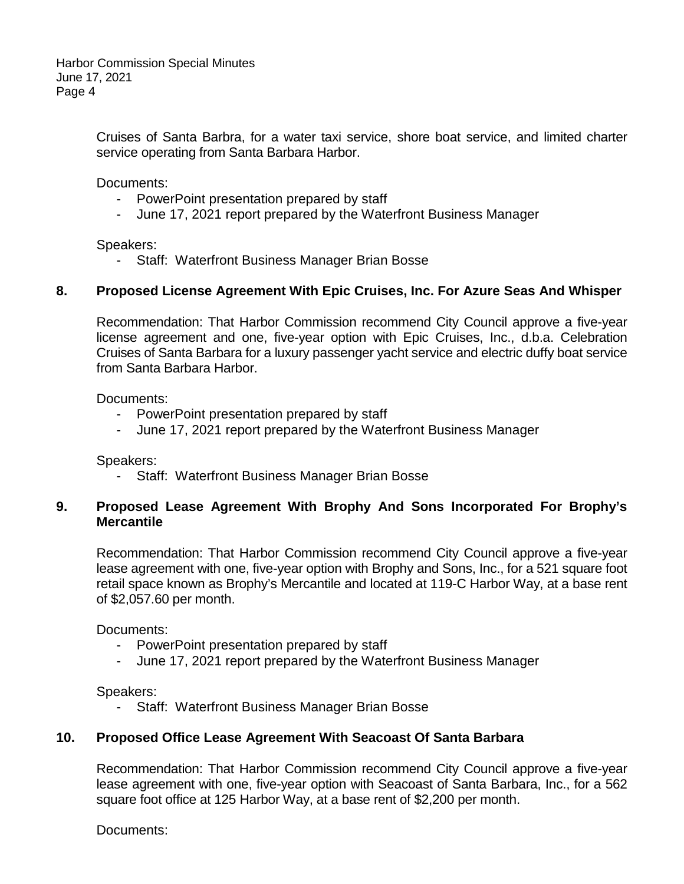Cruises of Santa Barbra, for a water taxi service, shore boat service, and limited charter service operating from Santa Barbara Harbor.

Documents:

- PowerPoint presentation prepared by staff
- June 17, 2021 report prepared by the Waterfront Business Manager

Speakers:

- Staff: Waterfront Business Manager Brian Bosse

### **8. Proposed License Agreement With Epic Cruises, Inc. For Azure Seas And Whisper**

Recommendation: That Harbor Commission recommend City Council approve a five-year license agreement and one, five-year option with Epic Cruises, Inc., d.b.a. Celebration Cruises of Santa Barbara for a luxury passenger yacht service and electric duffy boat service from Santa Barbara Harbor.

Documents:

- PowerPoint presentation prepared by staff
- June 17, 2021 report prepared by the Waterfront Business Manager

Speakers:

Staff: Waterfront Business Manager Brian Bosse

### **9. Proposed Lease Agreement With Brophy And Sons Incorporated For Brophy's Mercantile**

Recommendation: That Harbor Commission recommend City Council approve a five-year lease agreement with one, five-year option with Brophy and Sons, Inc., for a 521 square foot retail space known as Brophy's Mercantile and located at 119-C Harbor Way, at a base rent of \$2,057.60 per month.

Documents:

- PowerPoint presentation prepared by staff
- June 17, 2021 report prepared by the Waterfront Business Manager

Speakers:

Staff: Waterfront Business Manager Brian Bosse

#### **10. Proposed Office Lease Agreement With Seacoast Of Santa Barbara**

Recommendation: That Harbor Commission recommend City Council approve a five-year lease agreement with one, five-year option with Seacoast of Santa Barbara, Inc., for a 562 square foot office at 125 Harbor Way, at a base rent of \$2,200 per month.

Documents: